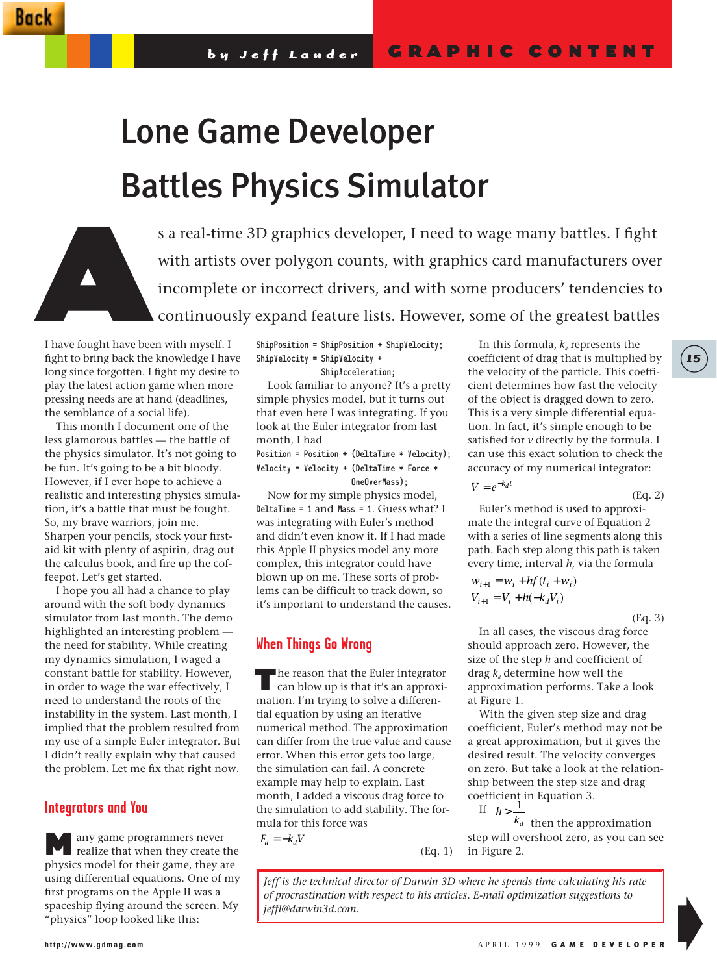# Lone Game Developer Battles Physics Simulator



I have fought have been with myself. I fight to bring back the knowledge I have long since forgotten. I fight my desire to play the latest action game when more pressing needs are at hand (deadlines, the semblance of a social life).

This month I document one of the less glamorous battles — the battle of the physics simulator. It's not going to be fun. It's going to be a bit bloody. However, if I ever hope to achieve a realistic and interesting physics simulation, it's a battle that must be fought. So, my brave warriors, join me. Sharpen your pencils, stock your firstaid kit with plenty of aspirin, drag out the calculus book, and fire up the coffeepot. Let's get started.

I hope you all had a chance to play around with the soft body dynamics simulator from last month. The demo highlighted an interesting problem the need for stability. While creating my dynamics simulation, I waged a constant battle for stability. However, in order to wage the war effectively, I need to understand the roots of the instability in the system. Last month, I implied that the problem resulted from my use of a simple Euler integrator. But I didn't really explain why that caused the problem. Let me fix that right now.

#### . . . . . . . . . . . . **Integrators and You**

any game programmers never realize that when they create the physics model for their game, they are using differential equations. One of my first programs on the Apple II was a spaceship flying around the screen. My "physics" loop looked like this:

-------------

ShipPosition = ShipPosition + ShipVelocity; ShipVelocity = ShipVelocity + ShipAcceleration;

Look familiar to anyone? It's a pretty simple physics model, but it turns out that even here I was integrating. If you look at the Euler integrator from last month, I had

Position = Position + (DeltaTime \* Velocity); Velocity = Velocity + (DeltaTime \* Force \* OneOverMass);

Now for my simple physics model, DeltaTime = 1 and Mass = 1. Guess what? I was integrating with Euler's method and didn't even know it. If I had made this Apple II physics model any more complex, this integrator could have blown up on me. These sorts of problems can be difficult to track down, so it's important to understand the causes.

## **When Things Go Wrong**

The reason that the Euler integrator<br>
can blow up is that it's an approximation. I'm trying to solve a differential equation by using an iterative numerical method. The approximation can differ from the true value and cause error. When this error gets too large, the simulation can fail. A concrete example may help to explain. Last month, I added a viscous drag force to the simulation to add stability. The formula for this force was

 $F_d = -k_d V$ 

In this formula, *k*, represents the coefficient of drag that is multiplied by the velocity of the particle. This coefficient determines how fast the velocity of the object is dragged down to zero. This is a very simple differential equation. In fact, it's simple enough to be satisfied for *v* directly by the formula. I can use this exact solution to check the accuracy of my numerical integrator:

$$
(Eq. 2)
$$

**15**

Euler's method is used to approximate the integral curve of Equation 2 with a series of line segments along this path. Each step along this path is taken every time, interval *h,* via the formula

$$
w_{i+1} = w_i + h f(t_i + w_i)
$$
  

$$
V_{i+1} = V_i + h(-k_d V_i)
$$

 $V = e^{-k_d t}$ 

(Eq. 3)

In all cases, the viscous drag force should approach zero. However, the size of the step *h* and coefficient of drag  $k_{a}$  determine how well the approximation performs. Take a look at Figure 1.

With the given step size and drag coefficient, Euler's method may not be a great approximation, but it gives the desired result. The velocity converges on zero. But take a look at the relationship between the step size and drag coefficient in Equation 3.

$$
h > \frac{1}{1}
$$

If

(Eq. 1)  $k_d$  then the approximation step will overshoot zero, as you can see in Figure 2.

*Jeff is the technical director of Darwin 3D where he spends time calculating his rate of procrastination with respect to his articles. E-mail optimization suggestions to jeffl@darwin3d.com.*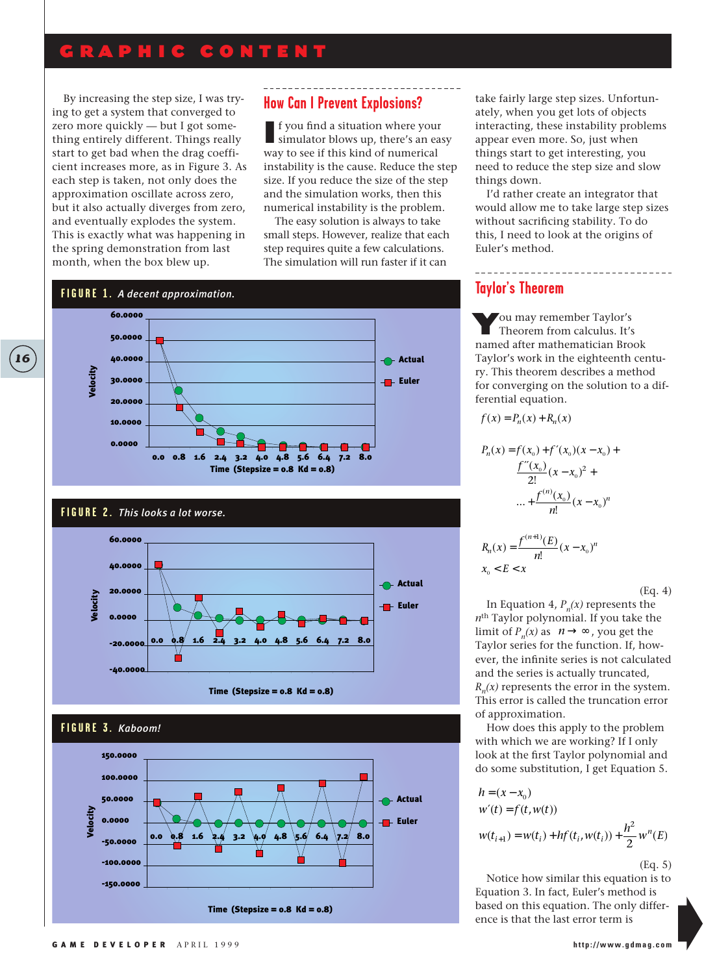## GRAPHIC CONTENT

By increasing the step size, I was trying to get a system that converged to zero more quickly — but I got something entirely different. Things really start to get bad when the drag coefficient increases more, as in Figure 3. As each step is taken, not only does the approximation oscillate across zero, but it also actually diverges from zero, and eventually explodes the system. This is exactly what was happening in the spring demonstration from last month, when the box blew up.

### **How Can I Prevent Explosions?**

If you find a situation where your simulator blows up, there's an easy way to see if this kind of numerical instability is the cause. Reduce the step size. If you reduce the size of the step and the simulation works, then this numerical instability is the problem.

The easy solution is always to take small steps. However, realize that each step requires quite a few calculations. The simulation will run faster if it can

**Actual** 

**Figure** Euler



#### **FIGURE 2.** *This looks a lot worse.*



Time (Stepsize =  $0.8$  Kd =  $0.8$ )



take fairly large step sizes. Unfortunately, when you get lots of objects interacting, these instability problems appear even more. So, just when things start to get interesting, you need to reduce the step size and slow things down.

I'd rather create an integrator that would allow me to take large step sizes without sacrificing stability. To do this, I need to look at the origins of Euler's method.

#### **Taylor's Theorem**

You may remember Taylor's Theorem from calculus. It's named after mathematician Brook Taylor's work in the eighteenth century. This theorem describes a method for converging on the solution to a differential equation.

$$
f(x) = P_n(x) + R_n(x)
$$

$$
P_n(x) = f(x_0) + f'(x_0)(x - x_0) +
$$
  

$$
\frac{f''(x_0)}{2!}(x - x_0)^2 +
$$
  

$$
\dots + \frac{f^{(n)}(x_0)}{n!}(x - x_0)^n
$$
  

$$
R_n(x) = \frac{f^{(n+1)}(E)}{n!}(x - x_0)^n
$$

 $x_{\text{o}} < E < x$ 

(Eq. 4)

In Equation 4,  $P_n(x)$  represents the *n*th Taylor polynomial. If you take the limit of  $P_n(x)$  as  $n \to \infty$ , you get the Taylor series for the function. If, however, the infinite series is not calculated and the series is actually truncated,  $R_n(x)$  represents the error in the system. This error is called the truncation error of approximation.

How does this apply to the problem with which we are working? If I only look at the first Taylor polynomial and do some substitution, I get Equation 5.

$$
h = (x - x_0)
$$
  
\n
$$
w'(t) = f(t, w(t))
$$
  
\n
$$
w(t_{i+1}) = w(t_i) + hf(t_i, w(t_i)) + \frac{h^2}{2} w^n(E)
$$

(Eq. 5)

Notice how similar this equation is to Equation 3. In fact, Euler's method is based on this equation. The only difference is that the last error term is

-100.0000 -150.0000